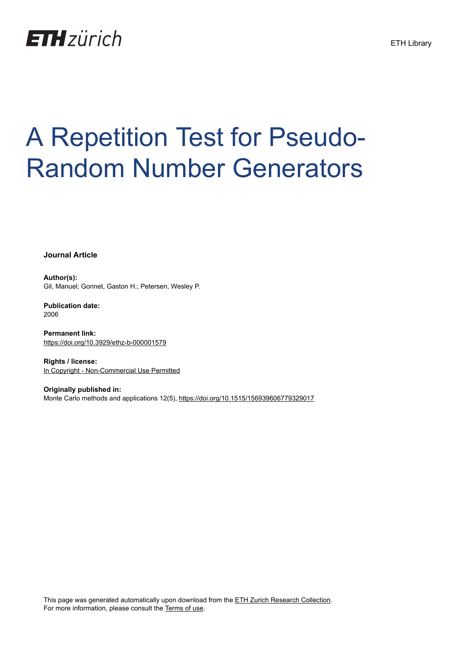

# A Repetition Test for Pseudo-Random Number Generators

**Journal Article**

**Author(s):** Gil, Manuel; Gonnet, Gaston H.; Petersen, Wesley P.

**Publication date:** 2006

**Permanent link:** <https://doi.org/10.3929/ethz-b-000001579>

**Rights / license:** [In Copyright - Non-Commercial Use Permitted](http://rightsstatements.org/page/InC-NC/1.0/)

**Originally published in:** Monte Carlo methods and applications 12(5), <https://doi.org/10.1515/156939606779329017>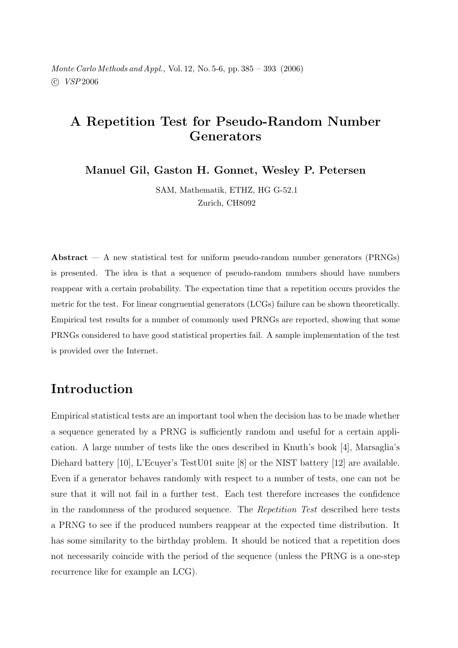Monte Carlo Methods and Appl., Vol. 12, No. 5-6, pp.  $385 - 393$  (2006)  $\odot$  VSP 2006

### A Repetition Test for Pseudo-Random Number Generators

Manuel Gil, Gaston H. Gonnet, Wesley P. Petersen

SAM, Mathematik, ETHZ, HG G-52.1 Zurich, CH8092

**Abstract**  $- A$  new statistical test for uniform pseudo-random number generators (PRNGs) is presented. The idea is that a sequence of pseudo-random numbers should have numbers reappear with a certain probability. The expectation time that a repetition occurs provides the metric for the test. For linear congruential generators (LCGs) failure can be shown theoretically. Empirical test results for a number of commonly used PRNGs are reported, showing that some PRNGs considered to have good statistical properties fail. A sample implementation of the test is provided over the Internet.

# Introduction

Empirical statistical tests are an important tool when the decision has to be made whether a sequence generated by a PRNG is sufficiently random and useful for a certain application. A large number of tests like the ones described in Knuth's book [4], Marsaglia's Diehard battery [10], L'Ecuyer's TestU01 suite [8] or the NIST battery [12] are available. Even if a generator behaves randomly with respect to a number of tests, one can not be sure that it will not fail in a further test. Each test therefore increases the confidence in the randomness of the produced sequence. The Repetition Test described here tests a PRNG to see if the produced numbers reappear at the expected time distribution. It has some similarity to the birthday problem. It should be noticed that a repetition does not necessarily coincide with the period of the sequence (unless the PRNG is a one-step recurrence like for example an LCG.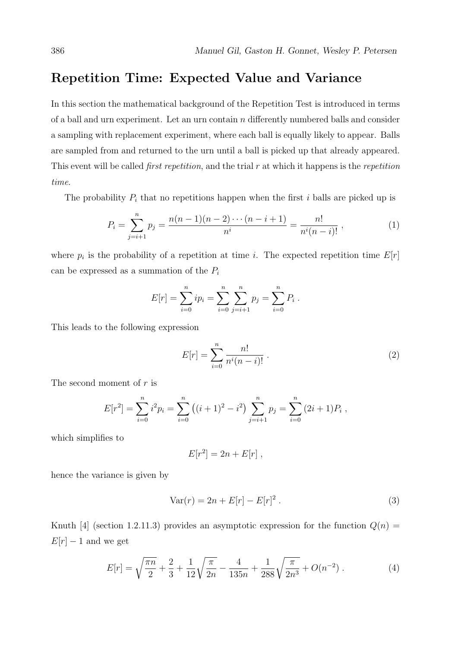#### Repetition Time: Expected Value and Variance

In this section the mathematical background of the Repetition Test is introduced in terms of a ball and urn experiment. Let an urn contain  $n$  differently numbered balls and consider a sampling with replacement experiment, where each ball is equally likely to appear. Balls are sampled from and returned to the urn until a ball is picked up that already appeared. This event will be called *first repetition*, and the trial  $r$  at which it happens is the *repetition* time.

The probability  $P_i$  that no repetitions happen when the first i balls are picked up is

$$
P_i = \sum_{j=i+1}^{n} p_j = \frac{n(n-1)(n-2)\cdots(n-i+1)}{n^i} = \frac{n!}{n^i(n-i)!},
$$
\n(1)

where  $p_i$  is the probability of a repetition at time i. The expected repetition time  $E[r]$ can be expressed as a summation of the  $P_i$ 

$$
E[r] = \sum_{i=0}^{n} ip_i = \sum_{i=0}^{n} \sum_{j=i+1}^{n} p_j = \sum_{i=0}^{n} P_i.
$$

This leads to the following expression

$$
E[r] = \sum_{i=0}^{n} \frac{n!}{n^i (n-i)!} \,. \tag{2}
$$

The second moment of  $r$  is

$$
E[r^{2}] = \sum_{i=0}^{n} i^{2} p_{i} = \sum_{i=0}^{n} ((i+1)^{2} - i^{2}) \sum_{j=i+1}^{n} p_{j} = \sum_{i=0}^{n} (2i+1) P_{i},
$$

which simplifies to

$$
E[r^2] = 2n + E[r],
$$

hence the variance is given by

$$
Var(r) = 2n + E[r] - E[r]^2.
$$
 (3)

Knuth [4] (section 1.2.11.3) provides an asymptotic expression for the function  $Q(n)$  =  $E[r] - 1$  and we get

$$
E[r] = \sqrt{\frac{\pi n}{2}} + \frac{2}{3} + \frac{1}{12}\sqrt{\frac{\pi}{2n}} - \frac{4}{135n} + \frac{1}{288}\sqrt{\frac{\pi}{2n^3}} + O(n^{-2}).
$$
 (4)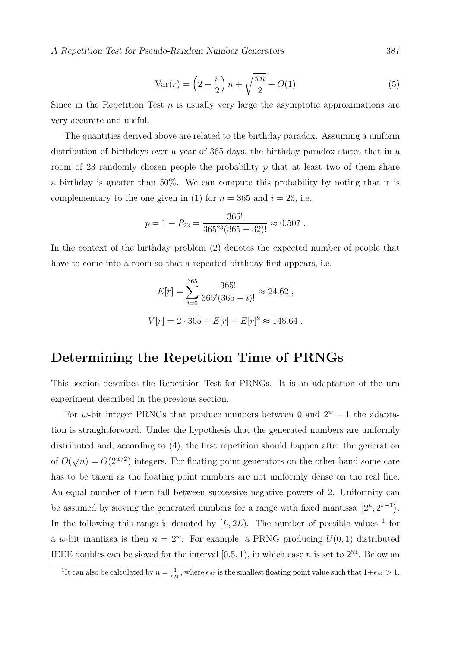Var(r) = 
$$
\left(2 - \frac{\pi}{2}\right)n + \sqrt{\frac{\pi n}{2}} + O(1)
$$
 (5)

Since in the Repetition Test  $n$  is usually very large the asymptotic approximations are very accurate and useful.

The quantities derived above are related to the birthday paradox. Assuming a uniform distribution of birthdays over a year of 365 days, the birthday paradox states that in a room of 23 randomly chosen people the probability  $p$  that at least two of them share a birthday is greater than  $50\%$ . We can compute this probability by noting that it is complementary to the one given in (1) for  $n = 365$  and  $i = 23$ , i.e.

$$
p = 1 - P_{23} = \frac{365!}{365^{23}(365 - 32)!} \approx 0.507
$$

In the context of the birthday problem (2) denotes the expected number of people that have to come into a room so that a repeated birthday first appears, i.e.

$$
E[r] = \sum_{i=0}^{365} \frac{365!}{365^i (365 - i)!} \approx 24.62 ,
$$
  

$$
V[r] = 2 \cdot 365 + E[r] - E[r]^2 \approx 148.64
$$

#### Determining the Repetition Time of PRNGs

This section describes the Repetition Test for PRNGs. It is an adaptation of the urn experiment described in the previous section.

For w-bit integer PRNGs that produce numbers between 0 and  $2^w - 1$  the adaptation is straightforward. Under the hypothesis that the generated numbers are uniformly distributed and, according to  $(4)$ , the first repetition should happen after the generation of  $O(\sqrt{n}) = O(2^{w/2})$  integers. For floating point generators on the other hand some care has to be taken as the floating point numbers are not uniformly dense on the real line. An equal number of them fall between successive negative powers of 2. Uniformity can be assumed by sieving the generated numbers for a range with fixed mantissa  $[2^k, 2^{k+1})$ . In the following this range is denoted by  $[L, 2L)$ . The number of possible values <sup>1</sup> for a w-bit mantissa is then  $n = 2^w$ . For example, a PRNG producing  $U(0, 1)$  distributed IEEE doubles can be sieved for the interval [0.5, 1], in which case *n* is set to  $2^{53}$ . Below an

<sup>&</sup>lt;sup>1</sup>It can also be calculated by  $n = \frac{1}{\epsilon_M}$ , where  $\epsilon_M$  is the smallest floating point value such that  $1 + \epsilon_M > 1$ .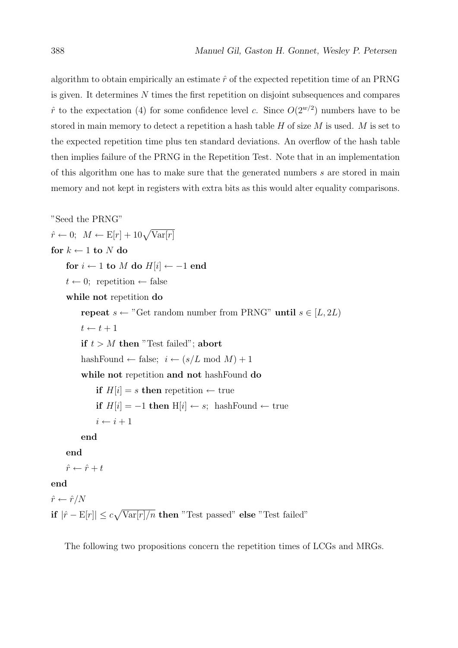algorithm to obtain empirically an estimate  $\hat{r}$  of the expected repetition time of an PRNG is given. It determines  $N$  times the first repetition on disjoint subsequences and compares  $\hat{r}$  to the expectation (4) for some confidence level c. Since  $O(2^{w/2})$  numbers have to be stored in main memory to detect a repetition a hash table  $H$  of size  $M$  is used.  $M$  is set to the expected repetition time plus ten standard deviations. An overflow of the hash table then implies failure of the PRNG in the Repetition Test. Note that in an implementation of this algorithm one has to make sure that the generated numbers  $s$  are stored in main memory and not kept in registers with extra bits as this would alter equality comparisons.

```
"Seed the PRNG"
\hat{r} \leftarrow 0; M \leftarrow E[r] + 10\sqrt{\text{Var}[r]}for k \leftarrow 1 to N do
     for i \leftarrow 1 to M do H[i] \leftarrow -1 end
     t \leftarrow 0; repetition \leftarrow false
     while not repetition do
          repeat s \leftarrow "Get random number from PRNG" until s \in [L, 2L]t \leftarrow t + 1if t > M then "Test failed"; abort
          hashFound \leftarrow false; i \leftarrow (s/L \mod M) + 1while not repetition and not hashFound do
               if H[i] = s then repetition \leftarrow true
               if H[i] = -1 then H[i] \leftarrow s; hashFound \leftarrow true
               i \leftarrow i + 1end
     end
     \hat{r} \leftarrow \hat{r} + tend
\hat{r} \leftarrow \hat{r}/Nif |\hat{r} - \mathbf{E}[r]| \leq c\sqrt{\text{Var}[r]/n} then "Test passed" else "Test failed"
```
The following two propositions concern the repetition times of LCGs and MRGs.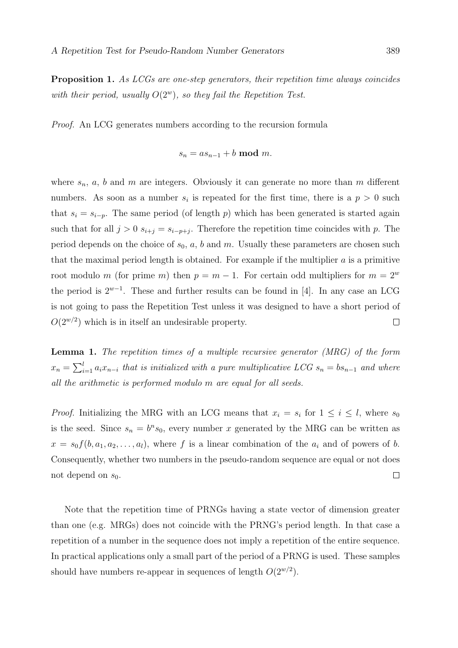**Proposition 1.** As LCGs are one-step generators, their repetition time always coincides with their period, usually  $O(2^w)$ , so they fail the Repetition Test.

*Proof.* An LCG generates numbers according to the recursion formula

$$
s_n = a s_{n-1} + b \bmod m
$$

where  $s_n$ , a, b and m are integers. Obviously it can generate no more than m different numbers. As soon as a number  $s_i$  is repeated for the first time, there is a  $p > 0$  such that  $s_i = s_{i-p}$ . The same period (of length p) which has been generated is started again such that for all  $j > 0$   $s_{i+j} = s_{i-p+j}$ . Therefore the repetition time coincides with p. The period depends on the choice of  $s_0$ , a, b and m. Usually these parameters are chosen such that the maximal period length is obtained. For example if the multiplier  $a$  is a primitive root modulo m (for prime m) then  $p = m - 1$ . For certain odd multipliers for  $m = 2<sup>w</sup>$ the period is  $2^{w-1}$ . These and further results can be found in [4]. In any case an LCG is not going to pass the Repetition Test unless it was designed to have a short period of  $O(2^{w/2})$  which is in itself an undesirable property.  $\Box$ 

**Lemma 1.** The repetition times of a multiple recursive generator (MRG) of the form  $x_n = \sum_{i=1}^l a_i x_{n-i}$  that is initialized with a pure multiplicative LCG  $s_n = bs_{n-1}$  and where all the arithmetic is performed modulo m are equal for all seeds.

*Proof.* Initializing the MRG with an LCG means that  $x_i = s_i$  for  $1 \leq i \leq l$ , where  $s_0$ is the seed. Since  $s_n = b^n s_0$ , every number x generated by the MRG can be written as  $x = s_0 f(b, a_1, a_2, \ldots, a_l)$ , where f is a linear combination of the  $a_i$  and of powers of b. Consequently, whether two numbers in the pseudo-random sequence are equal or not does  $\Box$ not depend on  $s_0$ .

Note that the repetition time of PRNGs having a state vector of dimension greater than one (e.g. MRGs) does not coincide with the PRNG's period length. In that case a repetition of a number in the sequence does not imply a repetition of the entire sequence. In practical applications only a small part of the period of a PRNG is used. These samples should have numbers re-appear in sequences of length  $O(2^{w/2})$ .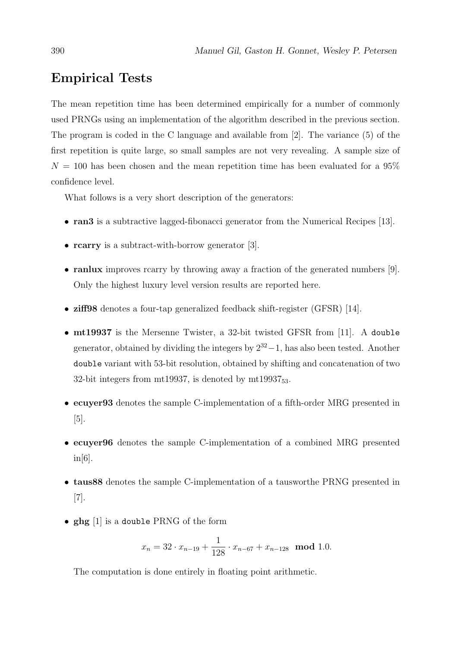#### **Empirical Tests**

The mean repetition time has been determined empirically for a number of commonly used PRNGs using an implementation of the algorithm described in the previous section. The program is coded in the C language and available from [2]. The variance  $(5)$  of the first repetition is quite large, so small samples are not very revealing. A sample size of  $N = 100$  has been chosen and the mean repetition time has been evaluated for a 95% confidence level.

What follows is a very short description of the generators:

- ran3 is a subtractive lagged-fibonacci generator from the Numerical Recipes  $[13]$ .
- **rearry** is a subtract-with-borrow generator [3].
- randux improves rearry by throwing away a fraction of the generated numbers  $[9]$ . Only the highest luxury level version results are reported here.
- ziff98 denotes a four-tap generalized feedback shift-register (GFSR) [14].
- $\bullet$  mt19937 is the Mersenne Twister, a 32-bit twisted GFSR from [11]. A double generator, obtained by dividing the integers by  $2^{32} - 1$ , has also been tested. Another double variant with 53-bit resolution, obtained by shifting and concatenation of two 32-bit integers from  $mt19937$ , is denoted by  $mt19937_{53}$ .
- ecuyer93 denotes the sample C-implementation of a fifth-order MRG presented in  $[5]$ .
- ecuver96 denotes the sample C-implementation of a combined MRG presented  $in[6]$ .
- taus 88 denotes the sample C-implementation of a tausworthe PRNG presented in  $\lceil 7 \rceil$ .
- $ghg$  [1] is a double PRNG of the form

$$
x_n = 32 \cdot x_{n-19} + \frac{1}{128} \cdot x_{n-67} + x_{n-128} \mod 1.0.
$$

The computation is done entirely in floating point arithmetic.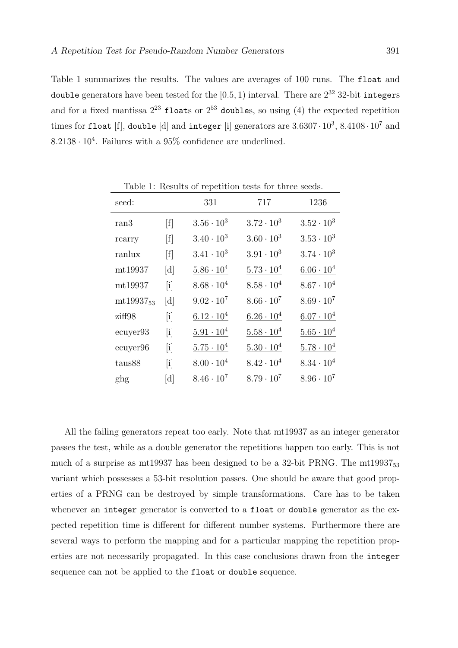Table 1 summarizes the results. The values are averages of 100 runs. The float and double generators have been tested for the  $[0.5, 1)$  interval. There are  $2^{32}$  32-bit integers and for a fixed mantissa  $2^{23}$  floats or  $2^{53}$  doubles, so using (4) the expected repetition times for float [f], double [d] and integer [i] generators are  $3.6307 \cdot 10^3$ ,  $8.4108 \cdot 10^7$  and  $8.2138 \cdot 10^4$ . Failures with a 95% confidence are underlined.

| seed:          |                            | 331                 | 717                 | 1236                |
|----------------|----------------------------|---------------------|---------------------|---------------------|
| ran3           | [f]                        | $3.56 \cdot 10^3$   | $3.72 \cdot 10^3$   | $3.52 \cdot 10^3$   |
| rcarry         | [f]                        | $3.40 \cdot 10^3$   | $3.60 \cdot 10^3$   | $3.53 \cdot 10^3$   |
| ranlux         | [f]                        | $3.41 \cdot 10^3$   | $3.91 \cdot 10^3$   | $3.74 \cdot 10^3$   |
| mt19937        | [d]                        | $5.86 \cdot 10^{4}$ | $5.73 \cdot 10^{4}$ | $6.06 \cdot 10^{4}$ |
| mt19937        | $\left[\mathrm{i}\right]$  | $8.68 \cdot 10^{4}$ | $8.58 \cdot 10^{4}$ | $8.67 \cdot 10^{4}$ |
| $mt19937_{53}$ | [d]                        | $9.02 \cdot 10^7$   | $8.66 \cdot 10^7$   | $8.69 \cdot 10^7$   |
| ziff98         | $\left[\mathrm{i}\right]$  | $6.12 \cdot 10^{4}$ | $6.26 \cdot 10^{4}$ | $6.07 \cdot 10^{4}$ |
| ecuyer93       | $\left[ \mathrm{i}\right]$ | $5.91 \cdot 10^{4}$ | $5.58 \cdot 10^4$   | $5.65 \cdot 10^{4}$ |
| ecuyer96       | $\left[\mathrm{i}\right]$  | $5.75 \cdot 10^4$   | $5.30 \cdot 10^{4}$ | $5.78 \cdot 10^{4}$ |
| taus88         | $\left[\mathrm{i}\right]$  | $8.00 \cdot 10^{4}$ | $8.42 \cdot 10^{4}$ | $8.34 \cdot 10^{4}$ |
| ghg            | [d]                        | $8.46 \cdot 10^{7}$ | $8.79 \cdot 10^{7}$ | $8.96 \cdot 10^7$   |

Table 1: Results of repetition tests for three seeds.

All the failing generators repeat too early. Note that mt19937 as an integer generator passes the test, while as a double generator the repetitions happen too early. This is not much of a surprise as mt19937 has been designed to be a 32-bit PRNG. The mt19937 $_{53}$ variant which possesses a 53-bit resolution passes. One should be aware that good properties of a PRNG can be destroyed by simple transformations. Care has to be taken whenever an integer generator is converted to a float or double generator as the expected repetition time is different for different number systems. Furthermore there are several ways to perform the mapping and for a particular mapping the repetition properties are not necessarily propagated. In this case conclusions drawn from the integer sequence can not be applied to the float or double sequence.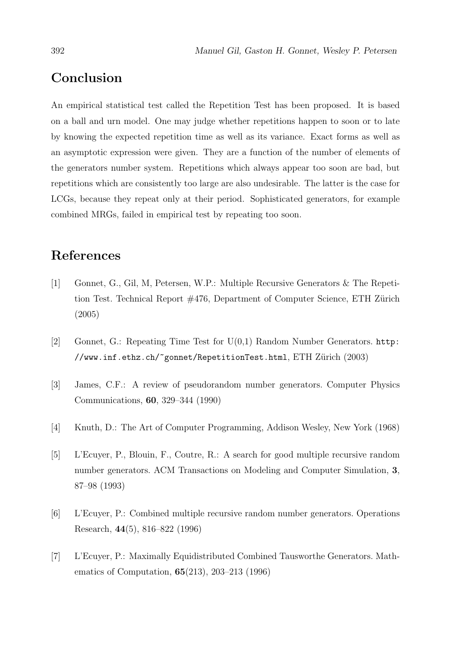# Conclusion

An empirical statistical test called the Repetition Test has been proposed. It is based on a ball and urn model. One may judge whether repetitions happen to soon or to late by knowing the expected repetition time as well as its variance. Exact forms as well as an asymptotic expression were given. They are a function of the number of elements of the generators number system. Repetitions which always appear too soon are bad, but repetitions which are consistently too large are also undesirable. The latter is the case for LCGs, because they repeat only at their period. Sophisticated generators, for example combined MRGs, failed in empirical test by repeating too soon.

# References

- $\lceil 1 \rceil$ Gonnet, G., Gil, M., Petersen, W.P.: Multiple Recursive Generators & The Repetition Test. Technical Report #476, Department of Computer Science, ETH Zürich  $(2005)$
- $\lceil 2 \rceil$ Gonnet, G.: Repeating Time Test for  $U(0.1)$  Random Number Generators. http: //www.inf.ethz.ch/~gonnet/RepetitionTest.html, ETH Zürich (2003)
- $\lceil 3 \rceil$ James, C.F.: A review of pseudorandom number generators. Computer Physics Communications, 60, 329–344 (1990)
- Knuth, D.: The Art of Computer Programming, Addison Wesley, New York (1968)  $\lceil 4 \rceil$
- $\lceil 5 \rceil$ L'Ecuver, P., Blouin, F., Coutre, R.: A search for good multiple recursive random number generators. ACM Transactions on Modeling and Computer Simulation. 3. 87-98 (1993)
- $[6]$ L'Ecuyer, P.: Combined multiple recursive random number generators. Operations Research,  $44(5)$ ,  $816-822$  (1996)
- $[7]$ L'Ecuver, P.: Maximally Equidistributed Combined Tausworthe Generators. Mathematics of Computation,  $65(213)$ , 203-213 (1996)